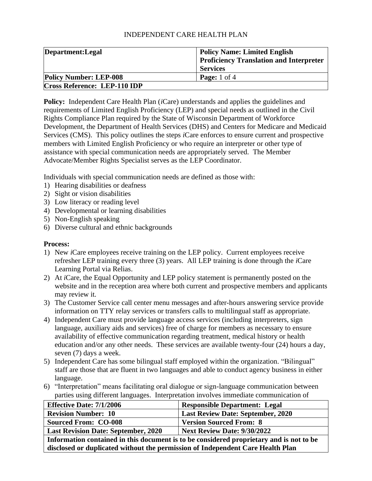### INDEPENDENT CARE HEALTH PLAN

| Department: Legal                   | <b>Policy Name: Limited English</b>            |
|-------------------------------------|------------------------------------------------|
|                                     | <b>Proficiency Translation and Interpreter</b> |
|                                     | <b>Services</b>                                |
| <b>Policy Number: LEP-008</b>       | <b>Page:</b> $1 \text{ of } 4$                 |
| <b>Cross Reference: LEP-110 IDP</b> |                                                |

**Policy:** Independent Care Health Plan (*i*Care) understands and applies the guidelines and requirements of Limited English Proficiency (LEP) and special needs as outlined in the Civil Rights Compliance Plan required by the State of Wisconsin Department of Workforce Development, the Department of Health Services (DHS) and Centers for Medicare and Medicaid Services (CMS). This policy outlines the steps *i*Care enforces to ensure current and prospective members with Limited English Proficiency or who require an interpreter or other type of assistance with special communication needs are appropriately served. The Member Advocate/Member Rights Specialist serves as the LEP Coordinator.

Individuals with special communication needs are defined as those with:

- 1) Hearing disabilities or deafness
- 2) Sight or vision disabilities
- 3) Low literacy or reading level
- 4) Developmental or learning disabilities
- 5) Non-English speaking
- 6) Diverse cultural and ethnic backgrounds

#### **Process:**

- 1) New *i*Care employees receive training on the LEP policy. Current employees receive refresher LEP training every three (3) years. All LEP training is done through the *i*Care Learning Portal via Relias.
- 2) At *i*Care, the Equal Opportunity and LEP policy statement is permanently posted on the website and in the reception area where both current and prospective members and applicants may review it.
- 3) The Customer Service call center menu messages and after-hours answering service provide information on TTY relay services or transfers calls to multilingual staff as appropriate.
- 4) Independent Care must provide language access services (including interpreters, sign language, auxiliary aids and services) free of charge for members as necessary to ensure availability of effective communication regarding treatment, medical history or health education and/or any other needs. These services are available twenty-four (24) hours a day, seven (7) days a week.
- 5) Independent Care has some bilingual staff employed within the organization. "Bilingual" staff are those that are fluent in two languages and able to conduct agency business in either language.
- 6) "Interpretation" means facilitating oral dialogue or sign-language communication between parties using different languages. Interpretation involves immediate communication of

| <b>Effective Date: 7/1/2006</b>                                                         | <b>Responsible Department: Legal</b> |
|-----------------------------------------------------------------------------------------|--------------------------------------|
| <b>Revision Number: 10</b>                                                              | Last Review Date: September, 2020    |
| <b>Sourced From: CO-008</b>                                                             | <b>Version Sourced From: 8</b>       |
| <b>Next Review Date: 9/30/2022</b><br><b>Last Revision Date: September, 2020</b>        |                                      |
| Information contained in this document is to be considered proprietary and is not to be |                                      |

**disclosed or duplicated without the permission of Independent Care Health Plan**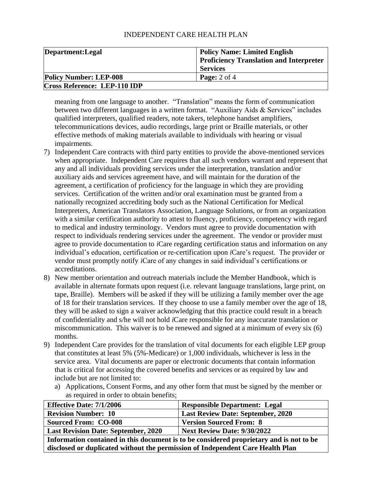#### INDEPENDENT CARE HEALTH PLAN

| Department: Legal                   | <b>Policy Name: Limited English</b>            |
|-------------------------------------|------------------------------------------------|
|                                     | <b>Proficiency Translation and Interpreter</b> |
|                                     | <b>Services</b>                                |
| <b>Policy Number: LEP-008</b>       | <b>Page:</b> $2$ of $4$                        |
| <b>Cross Reference: LEP-110 IDP</b> |                                                |

meaning from one language to another. "Translation" means the form of communication between two different languages in a written format. "Auxiliary Aids & Services" includes qualified interpreters, qualified readers, note takers, telephone handset amplifiers, telecommunications devices, audio recordings, large print or Braille materials, or other effective methods of making materials available to individuals with hearing or visual impairments.

- 7) Independent Care contracts with third party entities to provide the above-mentioned services when appropriate. Independent Care requires that all such vendors warrant and represent that any and all individuals providing services under the interpretation, translation and/or auxiliary aids and services agreement have, and will maintain for the duration of the agreement, a certification of proficiency for the language in which they are providing services. Certification of the written and/or oral examination must be granted from a nationally recognized accrediting body such as the National Certification for Medical Interpreters, American Translators Association, Language Solutions, or from an organization with a similar certification authority to attest to fluency, proficiency, competency with regard to medical and industry terminology. Vendors must agree to provide documentation with respect to individuals rendering services under the agreement. The vendor or provider must agree to provide documentation to *i*Care regarding certification status and information on any individual's education, certification or re-certification upon *i*Care's request. The provider or vendor must promptly notify *i*Care of any changes in said individual's certifications or accreditations.
- 8) New member orientation and outreach materials include the Member Handbook, which is available in alternate formats upon request (i.e. relevant language translations, large print, on tape, Braille). Members will be asked if they will be utilizing a family member over the age of 18 for their translation services. If they choose to use a family member over the age of 18, they will be asked to sign a waiver acknowledging that this practice could result in a breach of confidentiality and s/he will not hold *i*Care responsible for any inaccurate translation or miscommunication. This waiver is to be renewed and signed at a minimum of every six (6) months.
- 9) Independent Care provides for the translation of vital documents for each eligible LEP group that constitutes at least 5% (5%-Medicare) or 1,000 individuals, whichever is less in the service area. Vital documents are paper or electronic documents that contain information that is critical for accessing the covered benefits and services or as required by law and include but are not limited to:
	- a) Applications, Consent Forms, and any other form that must be signed by the member or as required in order to obtain benefits;

| <b>Effective Date: 7/1/2006</b>                                                         | <b>Responsible Department: Legal</b>     |
|-----------------------------------------------------------------------------------------|------------------------------------------|
| <b>Revision Number: 10</b>                                                              | <b>Last Review Date: September, 2020</b> |
| <b>Sourced From: CO-008</b>                                                             | <b>Version Sourced From: 8</b>           |
| <b>Next Review Date: 9/30/2022</b><br><b>Last Revision Date: September, 2020</b>        |                                          |
| Information contained in this document is to be considered proprietary and is not to be |                                          |
| disclosed or duplicated without the permission of Independent Care Health Plan          |                                          |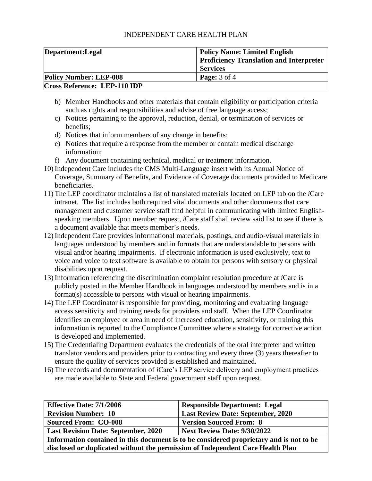| Department: Legal                   | <b>Policy Name: Limited English</b><br><b>Proficiency Translation and Interpreter</b><br><b>Services</b> |
|-------------------------------------|----------------------------------------------------------------------------------------------------------|
| <b>Policy Number: LEP-008</b>       | <b>Page:</b> $3$ of $4$                                                                                  |
| <b>Cross Reference: LEP-110 IDP</b> |                                                                                                          |

- b) Member Handbooks and other materials that contain eligibility or participation criteria such as rights and responsibilities and advise of free language access;
- c) Notices pertaining to the approval, reduction, denial, or termination of services or benefits;
- d) Notices that inform members of any change in benefits;
- e) Notices that require a response from the member or contain medical discharge information;
- f) Any document containing technical, medical or treatment information.
- 10) Independent Care includes the CMS Multi-Language insert with its Annual Notice of Coverage, Summary of Benefits, and Evidence of Coverage documents provided to Medicare beneficiaries.
- 11) The LEP coordinator maintains a list of translated materials located on LEP tab on the *i*Care intranet. The list includes both required vital documents and other documents that care management and customer service staff find helpful in communicating with limited Englishspeaking members. Upon member request, *i*Care staff shall review said list to see if there is a document available that meets member's needs.
- 12) Independent Care provides informational materials, postings, and audio-visual materials in languages understood by members and in formats that are understandable to persons with visual and/or hearing impairments. If electronic information is used exclusively, text to voice and voice to text software is available to obtain for persons with sensory or physical disabilities upon request.
- 13) Information referencing the discrimination complaint resolution procedure at *i*Care is publicly posted in the Member Handbook in languages understood by members and is in a format(s) accessible to persons with visual or hearing impairments.
- 14) The LEP Coordinator is responsible for providing, monitoring and evaluating language access sensitivity and training needs for providers and staff. When the LEP Coordinator identifies an employee or area in need of increased education, sensitivity, or training this information is reported to the Compliance Committee where a strategy for corrective action is developed and implemented.
- 15) The Credentialing Department evaluates the credentials of the oral interpreter and written translator vendors and providers prior to contracting and every three (3) years thereafter to ensure the quality of services provided is established and maintained.
- 16) The records and documentation of *i*Care's LEP service delivery and employment practices are made available to State and Federal government staff upon request.

| <b>Effective Date: 7/1/2006</b>                                                         | <b>Responsible Department: Legal</b>     |
|-----------------------------------------------------------------------------------------|------------------------------------------|
| <b>Revision Number: 10</b>                                                              | <b>Last Review Date: September, 2020</b> |
| <b>Sourced From: CO-008</b>                                                             | <b>Version Sourced From: 8</b>           |
| <b>Last Revision Date: September, 2020</b><br><b>Next Review Date: 9/30/2022</b>        |                                          |
| Information contained in this document is to be considered proprietary and is not to be |                                          |
| disclosed or duplicated without the permission of Independent Care Health Plan          |                                          |